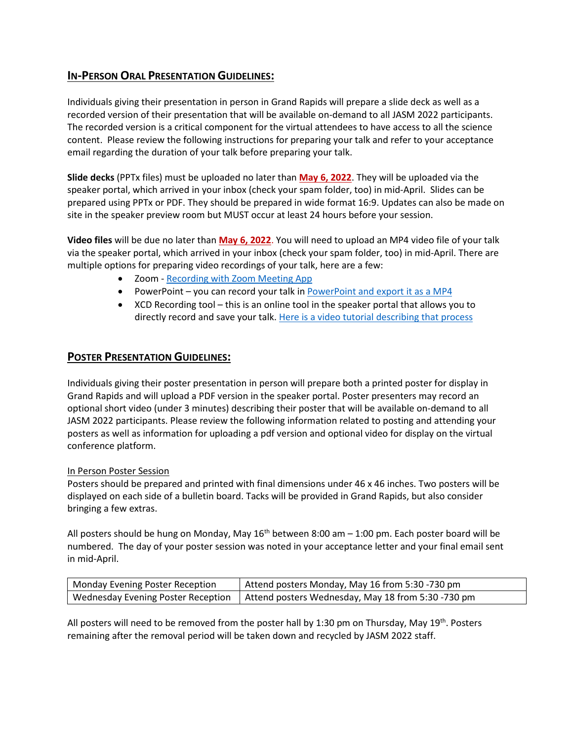## **IN-PERSON ORAL PRESENTATION GUIDELINES:**

Individuals giving their presentation in person in Grand Rapids will prepare a slide deck as well as a recorded version of their presentation that will be available on-demand to all JASM 2022 participants. The recorded version is a critical component for the virtual attendees to have access to all the science content. Please review the following instructions for preparing your talk and refer to your acceptance email regarding the duration of your talk before preparing your talk.

**Slide decks** (PPTx files) must be uploaded no later than **May 6, 2022**. They will be uploaded via the speaker portal, which arrived in your inbox (check your spam folder, too) in mid-April. Slides can be prepared using PPTx or PDF. They should be prepared in wide format 16:9. Updates can also be made on site in the speaker preview room but MUST occur at least 24 hours before your session.

**Video files** will be due no later than **May 6, 2022**. You will need to upload an MP4 video file of your talk via the speaker portal, which arrived in your inbox (check your spam folder, too) in mid-April. There are multiple options for preparing video recordings of your talk, here are a few:

- Zoom [Recording with Zoom Meeting App](https://afsannualmeeting2021.fisheries.org/presenter-guidelines-oral-poster-virtual/)
- PowerPoint you can record your talk i[n PowerPoint and export it as a MP4](https://support.microsoft.com/en-us/office/turn-your-presentation-into-a-video-c140551f-cb37-4818-b5d4-3e30815c3e83)
- XCD Recording tool this is an online tool in the speaker portal that allows you to directly record and save your talk. [Here is a video tutorial describing that process](https://support.x-cd.com/portal/en/kb/articles/record-a-presentation-in-the-submission-platform)

## **POSTER PRESENTATION GUIDELINES:**

Individuals giving their poster presentation in person will prepare both a printed poster for display in Grand Rapids and will upload a PDF version in the speaker portal. Poster presenters may record an optional short video (under 3 minutes) describing their poster that will be available on-demand to all JASM 2022 participants. Please review the following information related to posting and attending your posters as well as information for uploading a pdf version and optional video for display on the virtual conference platform.

## In Person Poster Session

Posters should be prepared and printed with final dimensions under 46 x 46 inches. Two posters will be displayed on each side of a bulletin board. Tacks will be provided in Grand Rapids, but also consider bringing a few extras.

All posters should be hung on Monday, May  $16<sup>th</sup>$  between 8:00 am  $-1:00$  pm. Each poster board will be numbered. The day of your poster session was noted in your acceptance letter and your final email sent in mid-April.

| Monday Evening Poster Reception | Attend posters Monday, May 16 from 5:30 -730 pm                                         |
|---------------------------------|-----------------------------------------------------------------------------------------|
|                                 | Wednesday Evening Poster Reception   Attend posters Wednesday, May 18 from 5:30 -730 pm |

All posters will need to be removed from the poster hall by 1:30 pm on Thursday, May  $19^{th}$ . Posters remaining after the removal period will be taken down and recycled by JASM 2022 staff.